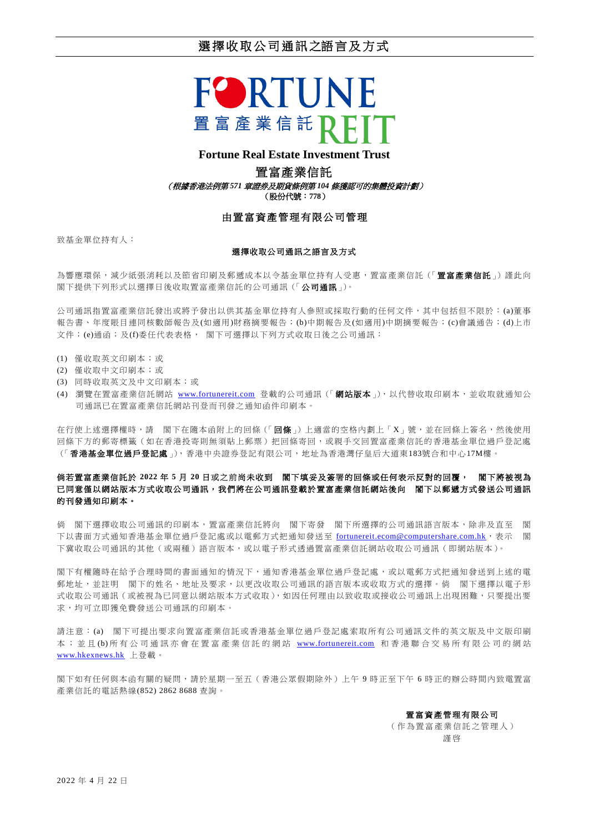# 選擇收取公司通訊之語言及方式



## **Fortune Real Estate Investment Trust**

#### 置富產業信託

(根據香港法例第 *571* 章證券及期貨條例第 *104* 條獲認可的集體投資計劃)

(股份代號:**778**)

## 由置富資產管理有限公司管理

致基金單位持有人:

#### 選擇收取公司通訊之語言及方式

為響應環保,減少紙張消耗以及節省印刷及郵遞成本以令基金單位持有人受惠,置富產業信託(「置富產業信託」)謹此向 閣下提供下列形式以選擇日後收取置富產業信託的公司通訊(「公司通訊」)。

公司通訊指置富產業信託發出或將予發出以供其基金單位持有人參照或採取行動的任何文件,其中包括但不限於:(a)董事 報告書、年度賬目連同核數師報告及(如適用)財務摘要報告;(b)中期報告及(如適用)中期摘要報告;(c)會議通告;(d)上市 文件;(e)通函;及(f)委任代表表格, 閣下可選擇以下列方式收取日後之公司通訊:

- (1) 僅收取英文印刷本;或
- (2) 僅收取中文印刷本;或
- (3) 同時收取英文及中文印刷本;或
- (4) 瀏覽在置富產業信託網站 [www.fortunereit.com](http://www.fortunereit.com/) 登載的公司通訊 (「網站版本」),以代替收取印刷本,並收取就通知公 司通訊已在置富產業信託網站刊登而刊發之通知函件印刷本。

在行使上述選擇權時,請 閣下在隨本函附上的回條(「回條」)上適當的空格內劃上「X」號,並在回條上簽名,然後使用 回條下方的郵寄標籤(如在香港投寄則無須貼上郵票)把回條寄回,或親手交回置富產業信託的香港基金單位過戶登記處 (「香港基金單位過戶登記處」),香港中央證券登記有限公司,地址為香港灣仔皇后大道東183號合和中心17M樓。

## 倘若置富產業信託於 **2022** 年 **5** 月 **20** 日或之前尚未收到 閣下填妥及簽署的回條或任何表示反對的回覆, 閣下將被視為 已同意僅以網站版本方式收取公司通訊,我們將在公司通訊登載於置富產業信託網站後向 閣下以郵遞方式發送公司通訊 的刊發通知印刷本。

倘 閣下選擇收取公司通訊的印刷本,置富產業信託將向 閣下寄發 閣下所選擇的公司通訊語言版本,除非及直至 閣 下以書面方式通知香港基金單位過戶登記處或以電郵方式把通知發送至 [fortunereit.ecom@computershare.com.hk](mailto:fortunereit.ecom@computershare.com.hk),表示 閣 下冀收取公司通訊的其他(或兩種)語言版本,或以電子形式透過置富產業信託網站收取公司通訊(即網站版本)。

閣下有權隨時在給予合理時間的書面通知的情況下,通知香港基金單位過戶登記處,或以電郵方式把通知發送到上述的電 郵地址,並註明 閣下的姓名、地址及要求,以更改收取公司通訊的語言版本或收取方式的選擇。倘 閣下選擇以電子形 式收取公司通訊(或被視為已同意以網站版本方式收取),如因任何理由以致收取或接收公司通訊上出現困難,只要提出要 求,均可立即獲免費發送公司通訊的印刷本。

請注意:(a) 閣下可提出要求向置富產業信託或香港基金單位過戶登記處索取所有公司通訊文件的英文版及中文版印刷 本; 並且(b) 所有公司通訊亦會在置富產業信託的網站 [www.fortunereit.com](http://www.fortunereit.com/) 和香港聯合交易所有限公司的網站 [www.hkexnews.hk](http://www.hkexnews.hk/) 上登載。

閣下如有任何與本函有關的疑問,請於星期一至五(香港公眾假期除外)上午 9 時正至下午 6 時正的辦公時間內致電置富 產業信託的電話熱線(852) 2862 8688 查詢。

置富資產管理有限公司

( 作為置 富產業 信託 之 管理人 ) 謹 啓